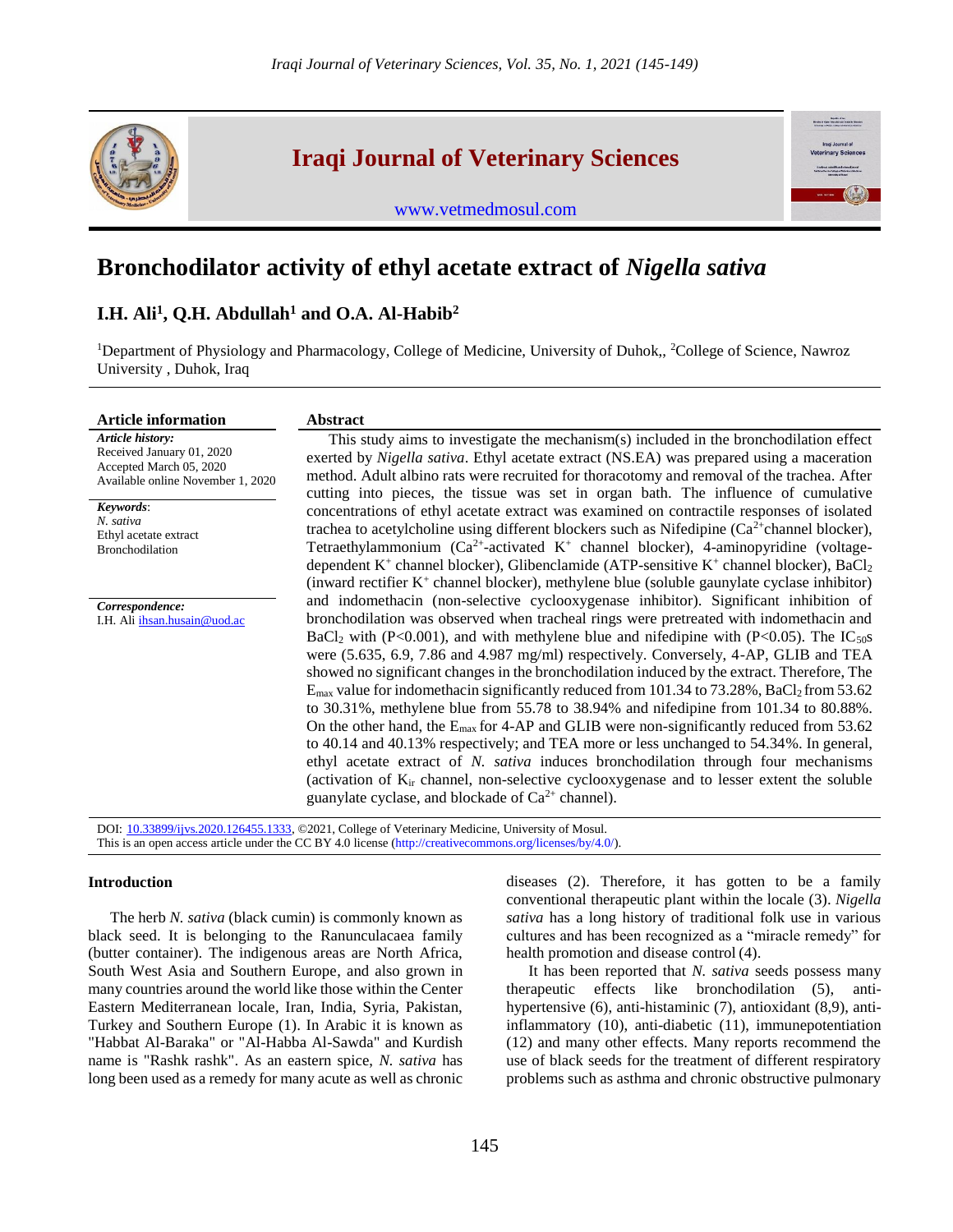

**Iraqi Journal of Veterinary Sciences**

[www.vetmedmosul.com](http://www.vetmedmosul.com/)



# **Bronchodilator activity of ethyl acetate extract of** *Nigella sativa*

## **I.H. Ali<sup>1</sup> , Q.H. Abdullah<sup>1</sup> and O.A. Al-Habib<sup>2</sup>**

<sup>1</sup>Department of Physiology and Pharmacology, College of Medicine, University of Duhok,, <sup>2</sup>College of Science, Nawroz University , Duhok, Iraq

| <b>Article information</b>                                                                                                 | <b>Abstract</b>                                                                                                                                                                                                                                                                                                                                                                |
|----------------------------------------------------------------------------------------------------------------------------|--------------------------------------------------------------------------------------------------------------------------------------------------------------------------------------------------------------------------------------------------------------------------------------------------------------------------------------------------------------------------------|
| Article history:<br>Received January 01, 2020<br>Accepted March 05, 2020<br>Available online November 1, 2020<br>Keywords: | This study aims to investigate the mechanism(s) included in the bronchodilation effect<br>exerted by <i>Nigella sativa</i> . Ethyl acetate extract (NS.EA) was prepared using a maceration<br>method. Adult albino rats were recruited for thoracotomy and removal of the trachea. After<br>cutting into pieces, the tissue was set in organ bath. The influence of cumulative |
| N. sativa                                                                                                                  | concentrations of ethyl acetate extract was examined on contractile responses of isolated<br>trachea to acetylcholine using different blockers such as Nifedipine ( $Ca2+$ channel blocker),                                                                                                                                                                                   |
| Ethyl acetate extract<br><b>Bronchodilation</b>                                                                            | Tetraethylammonium $(Ca^{2+}$ -activated $K^+$ channel blocker), 4-aminopyridine (voltage-                                                                                                                                                                                                                                                                                     |
|                                                                                                                            | dependent $K^+$ channel blocker), Glibenclamide (ATP-sensitive $K^+$ channel blocker), BaCl <sub>2</sub><br>(inward rectifier K <sup>+</sup> channel blocker), methylene blue (soluble gaunylate cyclase inhibitor)                                                                                                                                                            |
| Correspondence:                                                                                                            | and indomethacin (non-selective cyclooxygenase inhibitor). Significant inhibition of                                                                                                                                                                                                                                                                                           |
| I.H. Ali ihsan.husain@uod.ac                                                                                               | bronchodilation was observed when tracheal rings were pretreated with indomethacin and                                                                                                                                                                                                                                                                                         |
|                                                                                                                            | BaCl <sub>2</sub> with (P<0.001), and with methylene blue and nifedipine with (P<0.05). The IC <sub>50</sub> s                                                                                                                                                                                                                                                                 |
|                                                                                                                            | were (5.635, 6.9, 7.86 and 4.987 mg/ml) respectively. Conversely, 4-AP, GLIB and TEA<br>showed no significant changes in the bronchodilation induced by the extract. Therefore, The                                                                                                                                                                                            |
|                                                                                                                            | $E_{\text{max}}$ value for indomethacin significantly reduced from 101.34 to 73.28%, BaCl <sub>2</sub> from 53.62                                                                                                                                                                                                                                                              |
|                                                                                                                            | to $30.31\%$ , methylene blue from 55.78 to $38.94\%$ and nifedipine from 101.34 to 80.88%.                                                                                                                                                                                                                                                                                    |
|                                                                                                                            | On the other hand, the $E_{\text{max}}$ for 4-AP and GLIB were non-significantly reduced from 53.62<br>to 40.14 and 40.13% respectively; and TEA more or less unchanged to 54.34%. In general,<br>ethyl acetate extract of N. sativa induces bronchodilation through four mechanisms                                                                                           |
|                                                                                                                            | (activation of $K_{ir}$ channel, non-selective cyclooxygenase and to lesser extent the soluble<br>guanylate cyclase, and blockade of $Ca^{2+}$ channel).                                                                                                                                                                                                                       |

DOI: [10.33899/ijvs.2020.126455.1333,](http://www.doi.org/10.33899/ijvs.2020.126455.1333) ©2021, College of Veterinary Medicine, University of Mosul. This is an open access article under the CC BY 4.0 license [\(http://creativecommons.org/licenses/by/4.0/\)](http://creativecommons.org/licenses/by/4.0/).

## **Introduction**

The herb *N. sativa* (black cumin) is commonly known as black seed. It is belonging to the Ranunculacaea family (butter container). The indigenous areas are North Africa, South West Asia and Southern Europe, and also grown in many countries around the world like those within the Center Eastern Mediterranean locale, Iran, India, Syria, Pakistan, Turkey and Southern Europe (1). In Arabic it is known as "Habbat Al-Baraka" or "Al-Habba Al-Sawda" and Kurdish name is "Rashk rashk". As an eastern spice, *N. sativa* has long been used as a remedy for many acute as well as chronic

diseases (2). Therefore, it has gotten to be a family conventional therapeutic plant within the locale (3). *Nigella sativa* has a long history of traditional folk use in various cultures and has been recognized as a "miracle remedy" for health promotion and disease control (4).

It has been reported that *N. sativa* seeds possess many therapeutic effects like bronchodilation (5), antihypertensive (6), anti-histaminic (7), antioxidant (8,9), antiinflammatory (10), anti-diabetic (11), immunepotentiation (12) and many other effects. Many reports recommend the use of black seeds for the treatment of different respiratory problems such as asthma and chronic obstructive pulmonary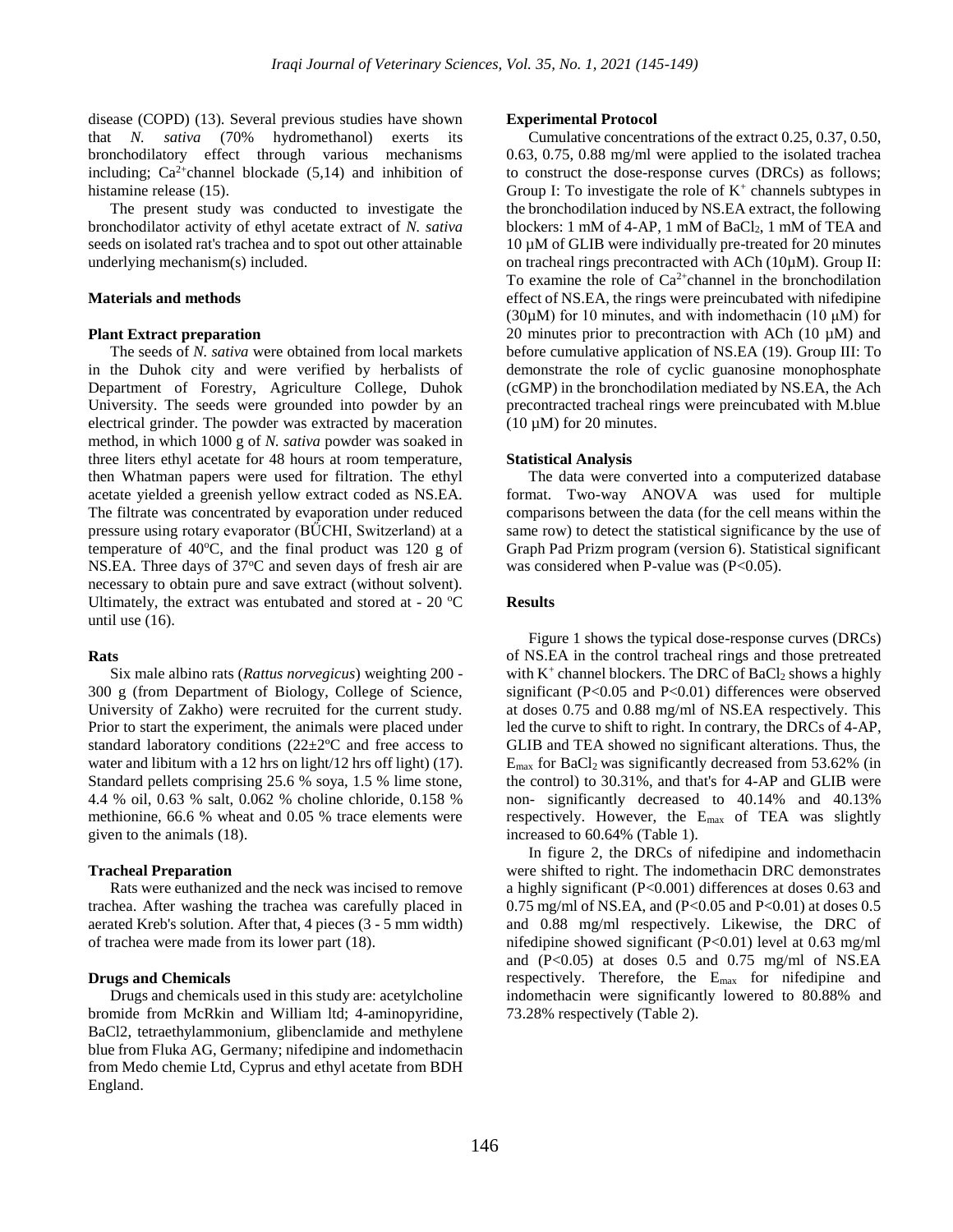disease (COPD) (13). Several previous studies have shown that *N. sativa* (70% hydromethanol) exerts its bronchodilatory effect through various mechanisms including;  $Ca^{2+}$ channel blockade (5,14) and inhibition of histamine release (15).

The present study was conducted to investigate the bronchodilator activity of ethyl acetate extract of *N. sativa*  seeds on isolated rat's trachea and to spot out other attainable underlying mechanism(s) included.

### **Materials and methods**

### **Plant Extract preparation**

The seeds of *N. sativa* were obtained from local markets in the Duhok city and were verified by herbalists of Department of Forestry, Agriculture College, Duhok University. The seeds were grounded into powder by an electrical grinder. The powder was extracted by maceration method, in which 1000 g of *N. sativa* powder was soaked in three liters ethyl acetate for 48 hours at room temperature, then Whatman papers were used for filtration. The ethyl acetate yielded a greenish yellow extract coded as NS.EA. The filtrate was concentrated by evaporation under reduced pressure using rotary evaporator (BŰCHI, Switzerland) at a temperature of 40 $^{\circ}$ C, and the final product was 120 g of NS.EA. Three days of  $37^{\circ}$ C and seven days of fresh air are necessary to obtain pure and save extract (without solvent). Ultimately, the extract was entubated and stored at -  $20^{\circ}$ C until use (16).

#### **Rats**

Six male albino rats (*Rattus norvegicus*) weighting 200 - 300 g (from Department of Biology, College of Science, University of Zakho) were recruited for the current study. Prior to start the experiment, the animals were placed under standard laboratory conditions (22±2ºC and free access to water and libitum with a 12 hrs on light/12 hrs off light) (17). Standard pellets comprising 25.6 % soya, 1.5 % lime stone, 4.4 % oil, 0.63 % salt, 0.062 % choline chloride, 0.158 % methionine, 66.6 % wheat and 0.05 % trace elements were given to the animals (18).

#### **Tracheal Preparation**

Rats were euthanized and the neck was incised to remove trachea. After washing the trachea was carefully placed in aerated Kreb's solution. After that, 4 pieces (3 - 5 mm width) of trachea were made from its lower part (18).

## **Drugs and Chemicals**

Drugs and chemicals used in this study are: acetylcholine bromide from McRkin and William ltd; 4-aminopyridine, BaCl2, tetraethylammonium, glibenclamide and methylene blue from Fluka AG, Germany; nifedipine and indomethacin from Medo chemie Ltd, Cyprus and ethyl acetate from BDH England.

#### **Experimental Protocol**

Cumulative concentrations of the extract 0.25, 0.37, 0.50, 0.63, 0.75, 0.88 mg/ml were applied to the isolated trachea to construct the dose-response curves (DRCs) as follows; Group I: To investigate the role of  $K^+$  channels subtypes in the bronchodilation induced by NS.EA extract, the following blockers: 1 mM of 4-AP, 1 mM of  $BaCl<sub>2</sub>$ , 1 mM of TEA and 10 µM of GLIB were individually pre-treated for 20 minutes on tracheal rings precontracted with ACh (10µM). Group II: To examine the role of  $Ca^{2+}$ channel in the bronchodilation effect of NS.EA, the rings were preincubated with nifedipine (30 $\mu$ M) for 10 minutes, and with indomethacin (10  $\mu$ M) for 20 minutes prior to precontraction with ACh  $(10 \mu M)$  and before cumulative application of NS.EA (19). Group III: To demonstrate the role of cyclic guanosine monophosphate (cGMP) in the bronchodilation mediated by NS.EA, the Ach precontracted tracheal rings were preincubated with M.blue  $(10 \mu M)$  for 20 minutes.

#### **Statistical Analysis**

The data were converted into a computerized database format. Two-way ANOVA was used for multiple comparisons between the data (for the cell means within the same row) to detect the statistical significance by the use of Graph Pad Prizm program (version 6). Statistical significant was considered when P-value was (P<0.05).

#### **Results**

Figure 1 shows the typical dose-response curves (DRCs) of NS.EA in the control tracheal rings and those pretreated with  $K^+$  channel blockers. The DRC of BaCl<sub>2</sub> shows a highly significant (P<0.05 and P<0.01) differences were observed at doses 0.75 and 0.88 mg/ml of NS.EA respectively. This led the curve to shift to right. In contrary, the DRCs of 4-AP, GLIB and TEA showed no significant alterations. Thus, the  $E_{\text{max}}$  for BaCl<sub>2</sub> was significantly decreased from 53.62% (in the control) to 30.31%, and that's for 4-AP and GLIB were non- significantly decreased to 40.14% and 40.13% respectively. However, the  $E_{\text{max}}$  of TEA was slightly increased to 60.64% (Table 1).

In figure 2, the DRCs of nifedipine and indomethacin were shifted to right. The indomethacin DRC demonstrates a highly significant (P<0.001) differences at doses 0.63 and 0.75 mg/ml of NS.EA, and  $(P<0.05$  and  $P<0.01$ ) at doses 0.5 and 0.88 mg/ml respectively. Likewise, the DRC of nifedipine showed significant (P<0.01) level at 0.63 mg/ml and  $(P<0.05)$  at doses 0.5 and 0.75 mg/ml of NS.EA respectively. Therefore, the Emax for nifedipine and indomethacin were significantly lowered to 80.88% and 73.28% respectively (Table 2).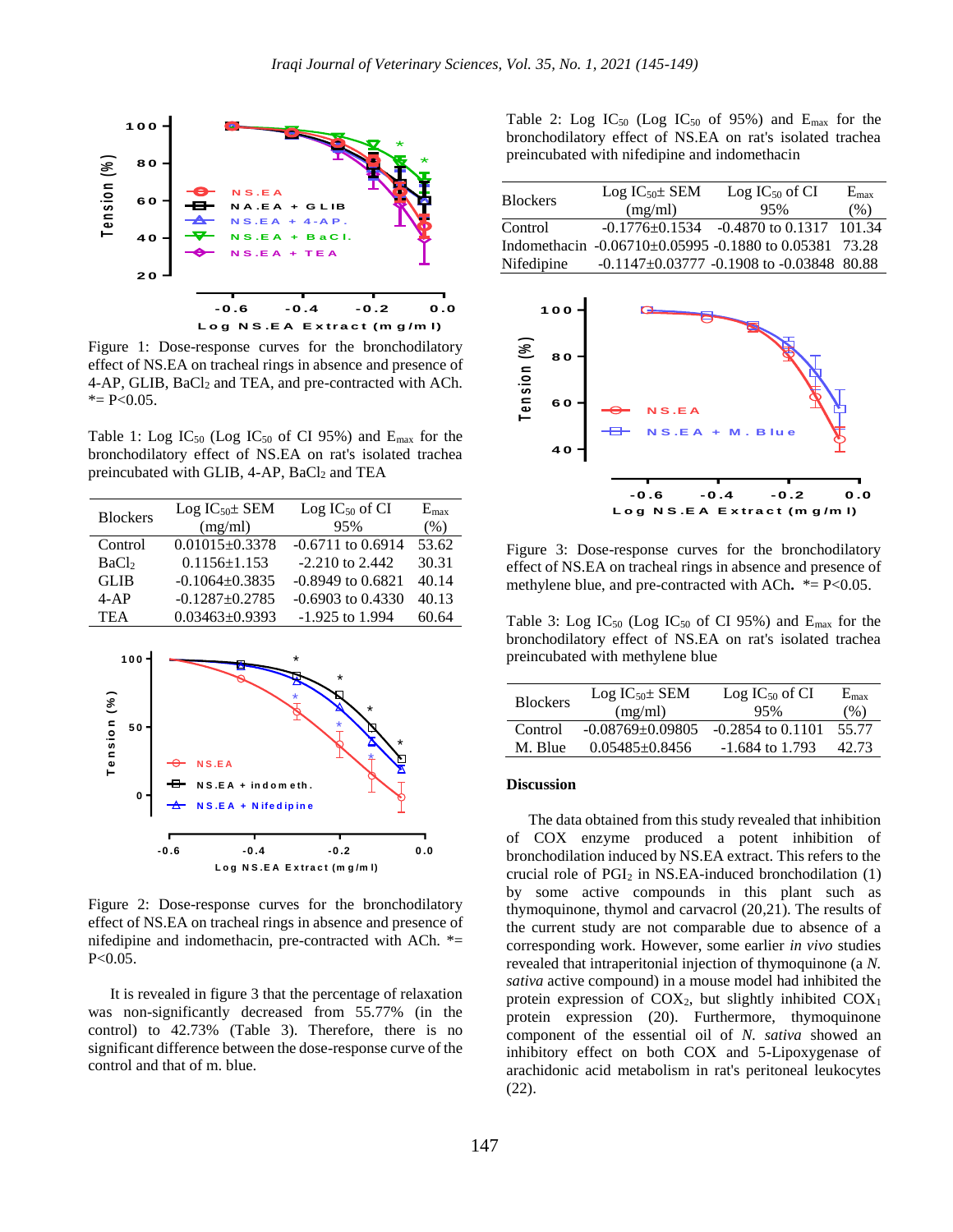

Figure 1: Dose-response curves for the bronchodilatory effect of NS.EA on tracheal rings in absence and presence of 4-AP, GLIB, BaCl<sub>2</sub> and TEA, and pre-contracted with ACh.  $* = P < 0.05$ .

Table 1: Log  $IC_{50}$  (Log  $IC_{50}$  of CI 95%) and  $E_{\text{max}}$  for the bronchodilatory effect of NS.EA on rat's isolated trachea preincubated with GLIB,  $4-AP$ ,  $BaCl<sub>2</sub>$  and TEA

| <b>Blockers</b>   | $Log IC_{50} \pm SEM$ | $Log IC_{50}$ of CI   | $E_{\rm max}$ |
|-------------------|-----------------------|-----------------------|---------------|
|                   | (mg/ml)               | 95%                   | (% )          |
| Control           | $0.01015 \pm 0.3378$  | $-0.6711$ to $0.6914$ | 53.62         |
| BaCl <sub>2</sub> | $0.1156 \pm 1.153$    | $-2.210$ to 2.442     | 30.31         |
| <b>GLIB</b>       | $-0.1064 \pm 0.3835$  | $-0.8949$ to $0.6821$ | 40.14         |
| $4-AP$            | $-0.1287 \pm 0.2785$  | $-0.6903$ to $0.4330$ | 40.13         |
| <b>TEA</b>        | $0.03463 \pm 0.9393$  | $-1.925$ to 1.994     | 60.64         |
|                   |                       |                       |               |



Figure 2: Dose-response curves for the bronchodilatory effect of NS.EA on tracheal rings in absence and presence of nifedipine and indomethacin, pre-contracted with ACh. \*= P<0.05.

It is revealed in figure 3 that the percentage of relaxation was non-significantly decreased from 55.77% (in the control) to 42.73% (Table 3). Therefore, there is no significant difference between the dose-response curve of the control and that of m. blue.

Table 2: Log  $IC_{50}$  (Log  $IC_{50}$  of 95%) and  $E_{\text{max}}$  for the bronchodilatory effect of NS.EA on rat's isolated trachea preincubated with nifedipine and indomethacin

| <b>Blockers</b> | $Log IC_{50} \pm SEM$ | $Log IC_{50}$ of CI                                    | $E_{\rm max}$ |
|-----------------|-----------------------|--------------------------------------------------------|---------------|
|                 | (mg/ml)               | 95%                                                    | (% )          |
| Control         |                       | $-0.1776 \pm 0.1534$ $-0.4870$ to 0.1317 101.34        |               |
|                 |                       | Indomethacin -0.06710±0.05995 -0.1880 to 0.05381 73.28 |               |
| Nifedipine      |                       | $-0.1147 \pm 0.03777$ -0.1908 to -0.03848 80.88        |               |



Figure 3: Dose-response curves for the bronchodilatory effect of NS.EA on tracheal rings in absence and presence of methylene blue, and pre-contracted with ACh**.** \*= P<0.05.

Table 3: Log  $IC_{50}$  (Log  $IC_{50}$  of CI 95%) and  $E_{\text{max}}$  for the bronchodilatory effect of NS.EA on rat's isolated trachea preincubated with methylene blue

| <b>Blockers</b> | $Log IC_{50} \pm SEM$<br>(mg/ml) | $Log IC_{50}$ of CI<br>95% | $E_{\rm max}$<br>(% ) |
|-----------------|----------------------------------|----------------------------|-----------------------|
| Control         | $-0.08769 + 0.09805$             | $-0.2854$ to $0.1101$      | 55.77                 |
| M. Blue         | $0.05485 + 0.8456$               | $-1.684$ to 1.793          | 42.73                 |

### **Discussion**

The data obtained from this study revealed that inhibition of COX enzyme produced a potent inhibition of bronchodilation induced by NS.EA extract. This refers to the crucial role of  $PGI<sub>2</sub>$  in NS.EA-induced bronchodilation (1) by some active compounds in this plant such as thymoquinone, thymol and carvacrol (20,21). The results of the current study are not comparable due to absence of a corresponding work. However, some earlier *in vivo* studies revealed that intraperitonial injection of thymoquinone (a *N. sativa* active compound) in a mouse model had inhibited the protein expression of  $COX_2$ , but slightly inhibited  $COX_1$ protein expression (20). Furthermore, thymoquinone component of the essential oil of *N. sativa* showed an inhibitory effect on both COX and 5-Lipoxygenase of arachidonic acid metabolism in rat's peritoneal leukocytes (22).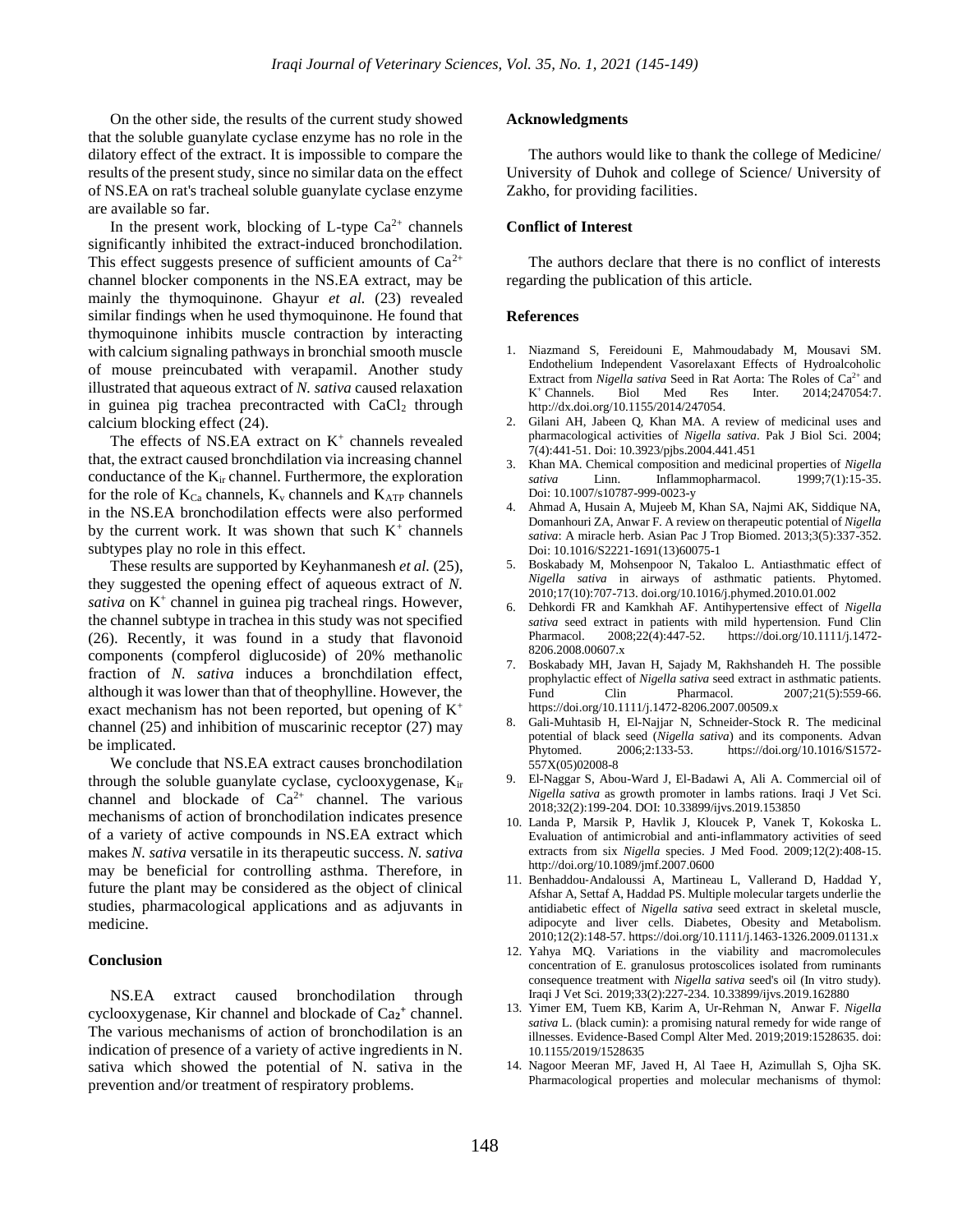On the other side, the results of the current study showed that the soluble guanylate cyclase enzyme has no role in the dilatory effect of the extract. It is impossible to compare the results of the present study, since no similar data on the effect of NS.EA on rat's tracheal soluble guanylate cyclase enzyme are available so far.

In the present work, blocking of L-type  $Ca^{2+}$  channels significantly inhibited the extract-induced bronchodilation. This effect suggests presence of sufficient amounts of  $Ca^{2+}$ channel blocker components in the NS.EA extract, may be mainly the thymoquinone. Ghayur *et al.* (23) revealed similar findings when he used thymoquinone. He found that thymoquinone inhibits muscle contraction by interacting with calcium signaling pathways in bronchial smooth muscle of mouse preincubated with verapamil. Another study illustrated that aqueous extract of *N. sativa* caused relaxation in guinea pig trachea precontracted with  $CaCl<sub>2</sub>$  through calcium blocking effect (24).

The effects of NS.EA extract on  $K^+$  channels revealed that, the extract caused bronchdilation via increasing channel conductance of the Kir channel. Furthermore, the exploration for the role of  $K_{Ca}$  channels,  $K_v$  channels and  $K_{ATP}$  channels in the NS.EA bronchodilation effects were also performed by the current work. It was shown that such  $K^+$  channels subtypes play no role in this effect.

These results are supported by Keyhanmanesh *et al.* (25), they suggested the opening effect of aqueous extract of *N.*  sativa on K<sup>+</sup> channel in guinea pig tracheal rings. However, the channel subtype in trachea in this study was not specified (26). Recently, it was found in a study that flavonoid components (compferol diglucoside) of 20% methanolic fraction of *N. sativa* induces a bronchdilation effect, although it was lower than that of theophylline. However, the exact mechanism has not been reported, but opening of  $K^+$ channel (25) and inhibition of muscarinic receptor (27) may be implicated.

We conclude that NS.EA extract causes bronchodilation through the soluble guanylate cyclase, cyclooxygenase, Kir channel and blockade of  $Ca^{2+}$  channel. The various mechanisms of action of bronchodilation indicates presence of a variety of active compounds in NS.EA extract which makes *N. sativa* versatile in its therapeutic success. *N. sativa*  may be beneficial for controlling asthma. Therefore, in future the plant may be considered as the object of clinical studies, pharmacological applications and as adjuvants in medicine.

#### **Conclusion**

NS.EA extract caused bronchodilation through cyclooxygenase, Kir channel and blockade of Ca**<sup>2</sup> +** channel. The various mechanisms of action of bronchodilation is an indication of presence of a variety of active ingredients in N. sativa which showed the potential of N. sativa in the prevention and/or treatment of respiratory problems.

### **Acknowledgments**

The authors would like to thank the college of Medicine/ University of Duhok and college of Science/ University of Zakho, for providing facilities.

## **Conflict of Interest**

The authors declare that there is no conflict of interests regarding the publication of this article.

#### **References**

- 1. Niazmand S, Fereidouni E, Mahmoudabady M, Mousavi SM. Endothelium Independent Vasorelaxant Effects of Hydroalcoholic Extract from *Nigella sativa* Seed in Rat Aorta: The Roles of Ca<sup>2+</sup> and  $K^+$  Channels. Biol Med Res Inter. 2014;247054:7. [http://dx.doi.org/10.1155/2014/247054.](http://dx.doi.org/10.1155/2014/247054)
- 2. Gilani AH, Jabeen Q, Khan MA. A review of medicinal uses and pharmacological activities of *Nigella sativa*. Pak J Biol Sci. 2004; 7(4):441-51. Doi: [10.3923/pjbs.2004.441.451](http://dx.doi.org/10.3923/pjbs.2004.441.451)
- 3. Khan MA. Chemical composition and medicinal properties of *Nigella sativa* Linn. Inflammopharmacol. 1999;7(1):15-35. Doi: [10.1007/s10787-999-0023-y](https://doi.org/10.1007/s10787-999-0023-y)
- 4. Ahmad A, Husain A, Mujeeb M, Khan SA, Najmi AK, Siddique NA, Domanhouri ZA, Anwar F. A review on therapeutic potential of *Nigella sativa*: A miracle herb. Asian Pac J Trop Biomed. 2013;3(5):337-352. Doi: 10.1016/S2221-1691(13)60075-1
- 5. Boskabady M, Mohsenpoor N, Takaloo L. Antiasthmatic effect of *Nigella sativa* in airways of asthmatic patients. Phytomed. 2010;17(10):707-713[. doi.org/10.1016/j.phymed.2010.01.002](https://doi.org/10.1016/j.phymed.2010.01.002)
- 6. Dehkordi FR and Kamkhah AF. Antihypertensive effect of *Nigella sativa* seed extract in patients with mild hypertension. Fund Clin Pharmacol. 2008;22(4):447-52. [https://doi.org/10.1111/j.1472-](https://doi.org/10.1111/j.1472-8206.2008.00607.x) [8206.2008.00607.x](https://doi.org/10.1111/j.1472-8206.2008.00607.x)
- 7. Boskabady MH, Javan H, Sajady M, Rakhshandeh H. The possible prophylactic effect of *Nigella sativa* seed extract in asthmatic patients. Fund Clin Pharmacol. 2007;21(5):559-66. <https://doi.org/10.1111/j.1472-8206.2007.00509.x>
- 8. Gali-Muhtasib H, El-Najjar N, Schneider-Stock R. The medicinal potential of black seed (*Nigella sativa*) and its components. Advan Phytomed. 2006;2:133-53. [https://doi.org/10.1016/S1572-](https://doi.org/10.1016/S1572-557X(05)02008-8) [557X\(05\)02008-8](https://doi.org/10.1016/S1572-557X(05)02008-8)
- 9. El-Naggar S, Abou-Ward J, El-Badawi A, Ali A. Commercial oil of *Nigella sativa* as growth promoter in lambs rations. Iraqi J Vet Sci. 2018;32(2):199-204. DOI[: 10.33899/ijvs.2019.153850](http://dx.doi.org/10.33899/ijvs.2019.153850)
- 10. Landa P, Marsik P, Havlik J, Kloucek P, Vanek T, Kokoska L. Evaluation of antimicrobial and anti-inflammatory activities of seed extracts from six *Nigella* species. J Med Food. 2009;12(2):408-15. [http://doi.org/10.1089/jmf.2007.0600](https://doi.org/10.1089/jmf.2007.0600)
- 11. Benhaddou‐Andaloussi A, Martineau L, Vallerand D, Haddad Y, Afshar A, Settaf A, Haddad PS. Multiple molecular targets underlie the antidiabetic effect of *Nigella sativa* seed extract in skeletal muscle, adipocyte and liver cells. Diabetes, Obesity and Metabolism. 2010;12(2):148-57[. https://doi.org/10.1111/j.1463-1326.2009.01131.x](https://doi.org/10.1111/j.1463-1326.2009.01131.x)
- 12. Yahya MQ. Variations in the viability and macromolecules concentration of E. granulosus protoscolices isolated from ruminants consequence treatment with *Nigella sativa* seed's oil (In vitro study). Iraqi J Vet Sci*.* 2019;33(2):227-234[. 10.33899/ijvs.2019.162880](http://dx.doi.org/10.33899/ijvs.2019.162880)
- 13. Yimer EM, Tuem KB, Karim A, Ur-Rehman N, Anwar F. *Nigella sativa* L. (black cumin): a promising natural remedy for wide range of illnesses. Evidence-Based Compl Alter Med. 2019;2019:1528635[. doi:](https://doi.org/10.1155/2019/1528635)  [10.1155/2019/1528635](https://doi.org/10.1155/2019/1528635)
- 14. Nagoor Meeran MF, Javed H, Al Taee H, Azimullah S, Ojha SK. Pharmacological properties and molecular mechanisms of thymol: